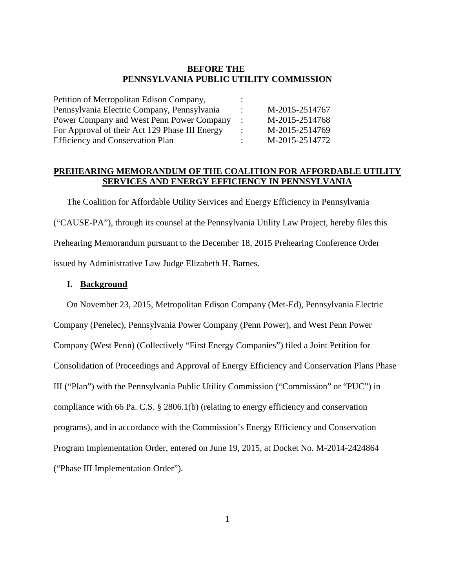### **BEFORE THE PENNSYLVANIA PUBLIC UTILITY COMMISSION**

| M-2015-2514767 |
|----------------|
| M-2015-2514768 |
| M-2015-2514769 |
| M-2015-2514772 |
|                |

## **PREHEARING MEMORANDUM OF THE COALITION FOR AFFORDABLE UTILITY SERVICES AND ENERGY EFFICIENCY IN PENNSYLVANIA**

The Coalition for Affordable Utility Services and Energy Efficiency in Pennsylvania ("CAUSE-PA"), through its counsel at the Pennsylvania Utility Law Project, hereby files this Prehearing Memorandum pursuant to the December 18, 2015 Prehearing Conference Order issued by Administrative Law Judge Elizabeth H. Barnes.

### **I. Background**

On November 23, 2015, Metropolitan Edison Company (Met-Ed), Pennsylvania Electric Company (Penelec), Pennsylvania Power Company (Penn Power), and West Penn Power Company (West Penn) (Collectively "First Energy Companies") filed a Joint Petition for Consolidation of Proceedings and Approval of Energy Efficiency and Conservation Plans Phase III ("Plan") with the Pennsylvania Public Utility Commission ("Commission" or "PUC") in compliance with 66 Pa. C.S. § 2806.1(b) (relating to energy efficiency and conservation programs), and in accordance with the Commission's Energy Efficiency and Conservation Program Implementation Order, entered on June 19, 2015, at Docket No. M-2014-2424864 ("Phase III Implementation Order").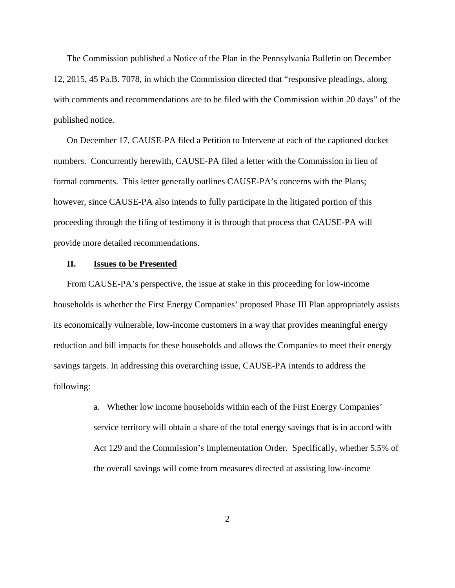The Commission published a Notice of the Plan in the Pennsylvania Bulletin on December 12, 2015, 45 Pa.B. 7078, in which the Commission directed that "responsive pleadings, along with comments and recommendations are to be filed with the Commission within 20 days" of the published notice.

On December 17, CAUSE-PA filed a Petition to Intervene at each of the captioned docket numbers. Concurrently herewith, CAUSE-PA filed a letter with the Commission in lieu of formal comments. This letter generally outlines CAUSE-PA's concerns with the Plans; however, since CAUSE-PA also intends to fully participate in the litigated portion of this proceeding through the filing of testimony it is through that process that CAUSE-PA will provide more detailed recommendations.

#### **II. Issues to be Presented**

From CAUSE-PA's perspective, the issue at stake in this proceeding for low-income households is whether the First Energy Companies' proposed Phase III Plan appropriately assists its economically vulnerable, low-income customers in a way that provides meaningful energy reduction and bill impacts for these households and allows the Companies to meet their energy savings targets. In addressing this overarching issue, CAUSE-PA intends to address the following:

> a. Whether low income households within each of the First Energy Companies' service territory will obtain a share of the total energy savings that is in accord with Act 129 and the Commission's Implementation Order. Specifically, whether 5.5% of the overall savings will come from measures directed at assisting low-income

> > 2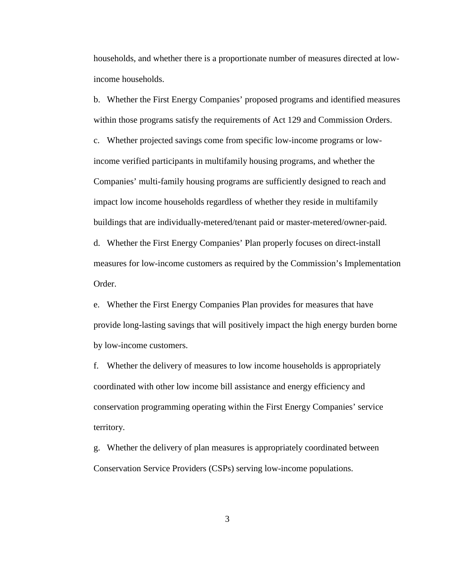households, and whether there is a proportionate number of measures directed at lowincome households.

b. Whether the First Energy Companies' proposed programs and identified measures within those programs satisfy the requirements of Act 129 and Commission Orders. c. Whether projected savings come from specific low-income programs or lowincome verified participants in multifamily housing programs, and whether the Companies' multi-family housing programs are sufficiently designed to reach and impact low income households regardless of whether they reside in multifamily buildings that are individually-metered/tenant paid or master-metered/owner-paid. d. Whether the First Energy Companies' Plan properly focuses on direct-install

measures for low-income customers as required by the Commission's Implementation Order.

e. Whether the First Energy Companies Plan provides for measures that have provide long-lasting savings that will positively impact the high energy burden borne by low-income customers.

f. Whether the delivery of measures to low income households is appropriately coordinated with other low income bill assistance and energy efficiency and conservation programming operating within the First Energy Companies' service territory.

g. Whether the delivery of plan measures is appropriately coordinated between Conservation Service Providers (CSPs) serving low-income populations.

3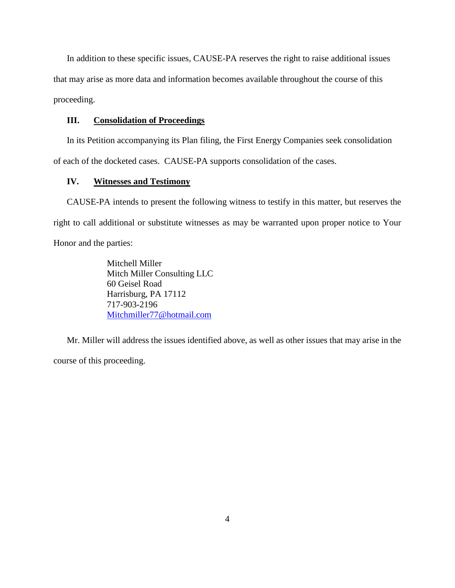In addition to these specific issues, CAUSE-PA reserves the right to raise additional issues that may arise as more data and information becomes available throughout the course of this proceeding.

### **III. Consolidation of Proceedings**

In its Petition accompanying its Plan filing, the First Energy Companies seek consolidation of each of the docketed cases. CAUSE-PA supports consolidation of the cases.

### **IV. Witnesses and Testimony**

CAUSE-PA intends to present the following witness to testify in this matter, but reserves the right to call additional or substitute witnesses as may be warranted upon proper notice to Your Honor and the parties:

> Mitchell Miller Mitch Miller Consulting LLC 60 Geisel Road Harrisburg, PA 17112 717-903-2196 [Mitchmiller77@hotmail.com](mailto:Mitchmiller77@hotmail.com)

Mr. Miller will address the issues identified above, as well as other issues that may arise in the course of this proceeding.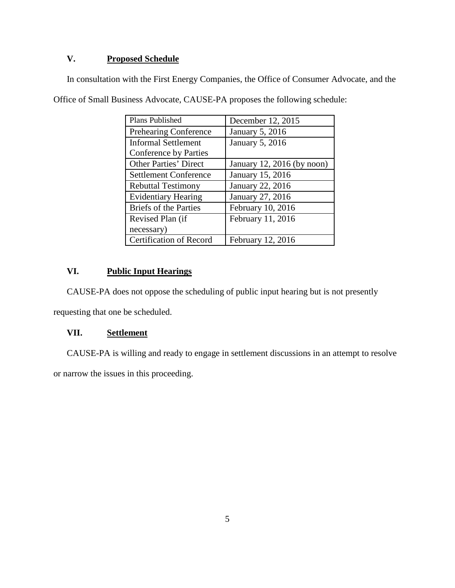# **V. Proposed Schedule**

In consultation with the First Energy Companies, the Office of Consumer Advocate, and the

| Plans Published              | December 12, 2015          |
|------------------------------|----------------------------|
| <b>Prehearing Conference</b> | <b>January 5, 2016</b>     |
| <b>Informal Settlement</b>   | <b>January 5, 2016</b>     |
| Conference by Parties        |                            |
| <b>Other Parties' Direct</b> | January 12, 2016 (by noon) |
| <b>Settlement Conference</b> | January 15, 2016           |
| <b>Rebuttal Testimony</b>    | January 22, 2016           |
| <b>Evidentiary Hearing</b>   | January 27, 2016           |
| <b>Briefs of the Parties</b> | February 10, 2016          |
| Revised Plan (if             | February 11, 2016          |
| necessary)                   |                            |
| Certification of Record      | <b>February 12, 2016</b>   |

Office of Small Business Advocate, CAUSE-PA proposes the following schedule:

## **VI. Public Input Hearings**

CAUSE-PA does not oppose the scheduling of public input hearing but is not presently

requesting that one be scheduled.

## **VII. Settlement**

CAUSE-PA is willing and ready to engage in settlement discussions in an attempt to resolve

or narrow the issues in this proceeding.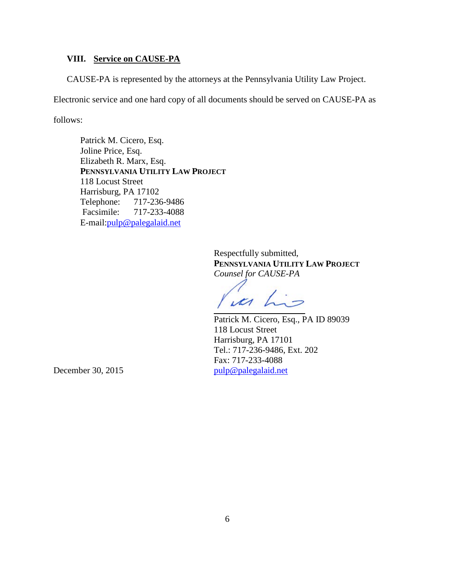### **VIII. Service on CAUSE-PA**

CAUSE-PA is represented by the attorneys at the Pennsylvania Utility Law Project.

Electronic service and one hard copy of all documents should be served on CAUSE-PA as

follows:

Patrick M. Cicero, Esq. Joline Price, Esq. Elizabeth R. Marx, Esq. **PENNSYLVANIA UTILITY LAW PROJECT** 118 Locust Street Harrisburg, PA 17102 Telephone: 717-236-9486 Facsimile: 717-233-4088 E-mail:pulp@palegalaid.net

> Respectfully submitted, **PENNSYLVANIA UTILITY LAW PROJECT** *Counsel for CAUSE-PA*

ucs h

Patrick M. Cicero, Esq., PA ID 89039 118 Locust Street Harrisburg, PA 17101 Tel.: 717-236-9486, Ext. 202 Fax: 717-233-4088 December 30, 2015 [pulp@palegalaid.net](mailto:pulp@palegalaid.net)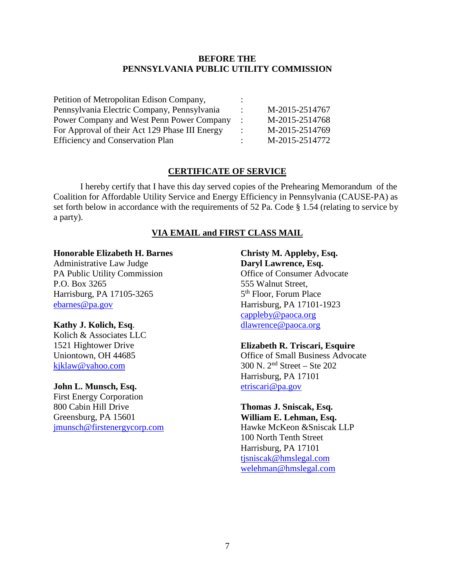### **BEFORE THE PENNSYLVANIA PUBLIC UTILITY COMMISSION**

| Petition of Metropolitan Edison Company,       |                |
|------------------------------------------------|----------------|
| Pennsylvania Electric Company, Pennsylvania    | M-2015-2514767 |
| Power Company and West Penn Power Company      | M-2015-2514768 |
| For Approval of their Act 129 Phase III Energy | M-2015-2514769 |
| <b>Efficiency and Conservation Plan</b>        | M-2015-2514772 |

### **CERTIFICATE OF SERVICE**

I hereby certify that I have this day served copies of the Prehearing Memorandum of the Coalition for Affordable Utility Service and Energy Efficiency in Pennsylvania (CAUSE-PA) as set forth below in accordance with the requirements of 52 Pa. Code § 1.54 (relating to service by a party).

#### **VIA EMAIL and FIRST CLASS MAIL**

#### **Honorable Elizabeth H. Barnes**

Administrative Law Judge PA Public Utility Commission P.O. Box 3265 Harrisburg, PA 17105-3265 [ebarnes@pa.gov](mailto:ebarnes@pa.gov)

#### **Kathy J. Kolich, Esq**.

Kolich & Associates LLC 1521 Hightower Drive Uniontown, OH 44685 [kjklaw@yahoo.com](mailto:kjklaw@yahoo.com)

#### **John L. Munsch, Esq.**

First Energy Corporation 800 Cabin Hill Drive Greensburg, PA 15601 [jmunsch@firstenergycorp.com](mailto:jmunsch@firstenergycorp.com)

## **Christy M. Appleby, Esq. Daryl Lawrence, Esq.** Office of Consumer Advocate 555 Walnut Street, 5th Floor, Forum Place Harrisburg, PA 17101-1923 [cappleby@paoca.org](mailto:cappleby@paoca.org) [dlawrence@paoca.org](mailto:dlawrence@paoca.org)

#### **Elizabeth R. Triscari, Esquire**

Office of Small Business Advocate 300 N. 2nd Street – Ste 202 Harrisburg, PA 17101 [etriscari@pa.gov](mailto:etriscari@pa.gov)

## **Thomas J. Sniscak, Esq. William E. Lehman, Esq.** Hawke McKeon &Sniscak LLP 100 North Tenth Street Harrisburg, PA 17101 [tjsniscak@hmslegal.com](mailto:tjsniscak@hmslegal.com) [welehman@hmslegal.com](mailto:welehman@hmslegal.com)